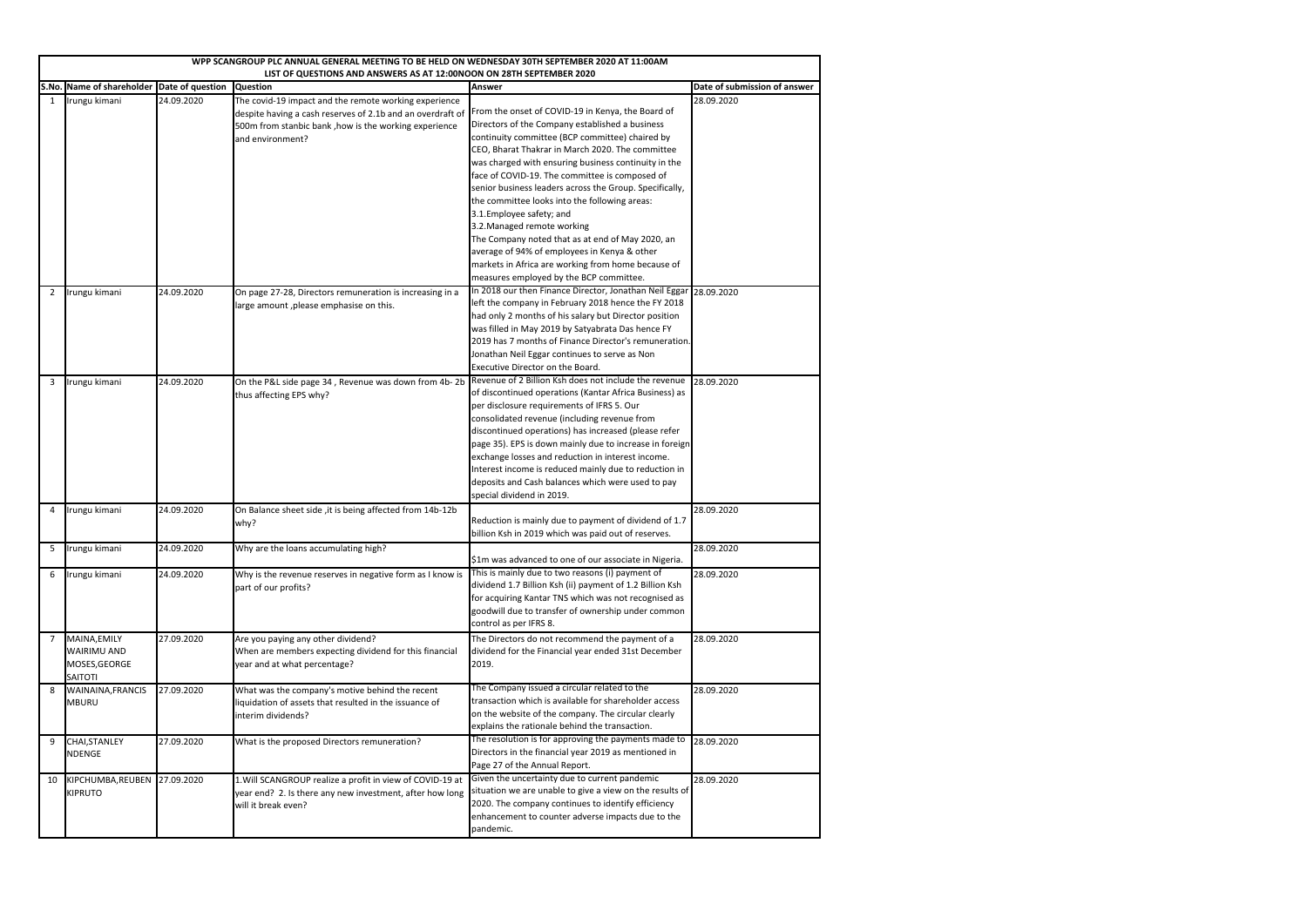| WPP SCANGROUP PLC ANNUAL GENERAL MEETING TO BE HELD ON WEDNESDAY 30TH SEPTEMBER 2020 AT 11:00AM<br>LIST OF QUESTIONS AND ANSWERS AS AT 12:00NOON ON 28TH SEPTEMBER 2020 |                                                                       |            |                                                                                                                                                                                                  |                                                                                                                                                                                                                                                                                                                                                                                                                                                                                                                                                                                                                                                                                                    |                              |
|-------------------------------------------------------------------------------------------------------------------------------------------------------------------------|-----------------------------------------------------------------------|------------|--------------------------------------------------------------------------------------------------------------------------------------------------------------------------------------------------|----------------------------------------------------------------------------------------------------------------------------------------------------------------------------------------------------------------------------------------------------------------------------------------------------------------------------------------------------------------------------------------------------------------------------------------------------------------------------------------------------------------------------------------------------------------------------------------------------------------------------------------------------------------------------------------------------|------------------------------|
|                                                                                                                                                                         | S.No. Name of shareholder Date of question                            |            | <b>Question</b>                                                                                                                                                                                  | <b>Answer</b>                                                                                                                                                                                                                                                                                                                                                                                                                                                                                                                                                                                                                                                                                      | Date of submission of answer |
| 1                                                                                                                                                                       | Irungu kimani                                                         | 24.09.2020 | The covid-19 impact and the remote working experience<br>despite having a cash reserves of 2.1b and an overdraft of<br>500m from stanbic bank, how is the working experience<br>and environment? | From the onset of COVID-19 in Kenya, the Board of<br>Directors of the Company established a business<br>continuity committee (BCP committee) chaired by<br>CEO, Bharat Thakrar in March 2020. The committee<br>was charged with ensuring business continuity in the<br>face of COVID-19. The committee is composed of<br>senior business leaders across the Group. Specifically,<br>the committee looks into the following areas:<br>3.1. Employee safety; and<br>3.2. Managed remote working<br>The Company noted that as at end of May 2020, an<br>average of 94% of employees in Kenya & other<br>markets in Africa are working from home because of<br>measures employed by the BCP committee. | 28.09.2020                   |
| $\overline{2}$                                                                                                                                                          | Irungu kimani                                                         | 24.09.2020 | On page 27-28, Directors remuneration is increasing in a<br>large amount, please emphasise on this.                                                                                              | In 2018 our then Finance Director, Jonathan Neil Eggar<br>left the company in February 2018 hence the FY 2018<br>had only 2 months of his salary but Director position<br>was filled in May 2019 by Satyabrata Das hence FY<br>2019 has 7 months of Finance Director's remuneration.<br>Jonathan Neil Eggar continues to serve as Non<br><b>Executive Director on the Board.</b>                                                                                                                                                                                                                                                                                                                   | 28.09.2020                   |
| 3                                                                                                                                                                       | Irungu kimani                                                         | 24.09.2020 | On the P&L side page 34, Revenue was down from 4b-2b<br>thus affecting EPS why?                                                                                                                  | Revenue of 2 Billion Ksh does not include the revenue<br>of discontinued operations (Kantar Africa Business) as<br>per disclosure requirements of IFRS 5. Our<br>consolidated revenue (including revenue from<br>discontinued operations) has increased (please refer<br>page 35). EPS is down mainly due to increase in foreign<br>exchange losses and reduction in interest income.<br>Interest income is reduced mainly due to reduction in<br>deposits and Cash balances which were used to pay<br>special dividend in 2019.                                                                                                                                                                   | 28.09.2020                   |
| 4                                                                                                                                                                       | Irungu kimani                                                         | 24.09.2020 | On Balance sheet side, it is being affected from 14b-12b<br>why?                                                                                                                                 | Reduction is mainly due to payment of dividend of 1.7<br>billion Ksh in 2019 which was paid out of reserves.                                                                                                                                                                                                                                                                                                                                                                                                                                                                                                                                                                                       | 28.09.2020                   |
| 5                                                                                                                                                                       | Irungu kimani                                                         | 24.09.2020 | Why are the loans accumulating high?                                                                                                                                                             | \$1m was advanced to one of our associate in Nigeria.                                                                                                                                                                                                                                                                                                                                                                                                                                                                                                                                                                                                                                              | 28.09.2020                   |
| 6                                                                                                                                                                       | Irungu kimani                                                         | 24.09.2020 | Why is the revenue reserves in negative form as I know is<br>part of our profits?                                                                                                                | This is mainly due to two reasons (i) payment of<br>dividend 1.7 Billion Ksh (ii) payment of 1.2 Billion Ksh<br>for acquiring Kantar TNS which was not recognised as<br>goodwill due to transfer of ownership under common<br>control as per IFRS 8.                                                                                                                                                                                                                                                                                                                                                                                                                                               | 28.09.2020                   |
|                                                                                                                                                                         | MAINA, EMILY<br><b>WAIRIMU AND</b><br>MOSES, GEORGE<br><b>SAITOTI</b> | 27.09.2020 | Are you paying any other dividend?<br>When are members expecting dividend for this financial<br>year and at what percentage?                                                                     | The Directors do not recommend the payment of a<br>dividend for the Financial year ended 31st December<br>2019.                                                                                                                                                                                                                                                                                                                                                                                                                                                                                                                                                                                    | 28.09.2020                   |
| 8                                                                                                                                                                       | <b>WAINAINA, FRANCIS</b><br><b>MBURU</b>                              | 27.09.2020 | What was the company's motive behind the recent<br>liquidation of assets that resulted in the issuance of<br>interim dividends?                                                                  | The Company issued a circular related to the<br>transaction which is available for shareholder access<br>on the website of the company. The circular clearly<br>explains the rationale behind the transaction.                                                                                                                                                                                                                                                                                                                                                                                                                                                                                     | 28.09.2020                   |
| 9                                                                                                                                                                       | CHAI, STANLEY<br><b>NDENGE</b>                                        | 27.09.2020 | What is the proposed Directors remuneration?                                                                                                                                                     | The resolution is for approving the payments made to<br>Directors in the financial year 2019 as mentioned in<br>Page 27 of the Annual Report.                                                                                                                                                                                                                                                                                                                                                                                                                                                                                                                                                      | 28.09.2020                   |
| 10                                                                                                                                                                      | KIPCHUMBA, REUBEN<br><b>KIPRUTO</b>                                   | 27.09.2020 | 1. Will SCANGROUP realize a profit in view of COVID-19 at<br>year end? 2. Is there any new investment, after how long<br>will it break even?                                                     | Given the uncertainty due to current pandemic<br>situation we are unable to give a view on the results of<br>2020. The company continues to identify efficiency<br>enhancement to counter adverse impacts due to the<br>pandemic.                                                                                                                                                                                                                                                                                                                                                                                                                                                                  | 28.09.2020                   |